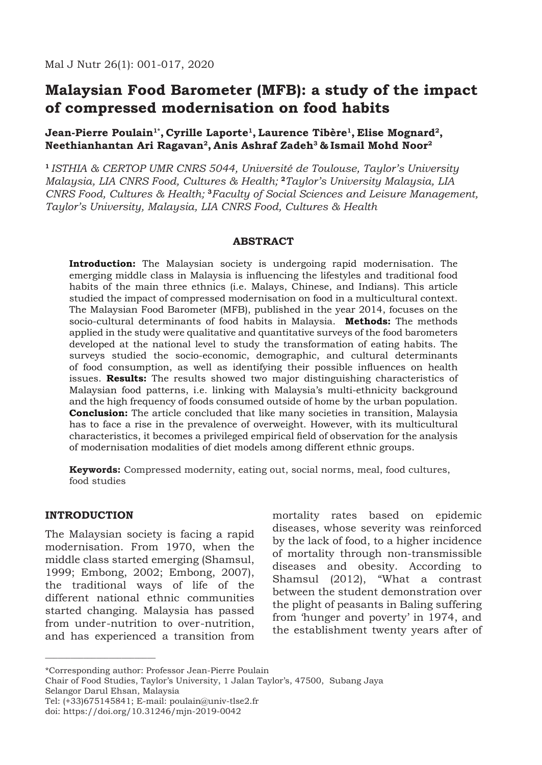# **Malaysian Food Barometer (MFB): a study of the impact of compressed modernisation on food habits**

# **Jean-Pierre Poulain1\*, Cyrille Laporte1, Laurence Tibère1, Elise Mognard2, Neethianhantan Ari Ragavan2, Anis Ashraf Zadeh3 & Ismail Mohd Noor2**

**<sup>1</sup>** *ISTHIA & CERTOP UMR CNRS 5044, Université de Toulouse, Taylor's University Malaysia, LIA CNRS Food, Cultures & Health;* **<sup>2</sup>***Taylor's University Malaysia, LIA CNRS Food, Cultures & Health;* **<sup>3</sup>***Faculty of Social Sciences and Leisure Management, Taylor's University, Malaysia, LIA CNRS Food, Cultures & Health* 

## **ABSTRACT**

**Introduction:** The Malaysian society is undergoing rapid modernisation. The emerging middle class in Malaysia is influencing the lifestyles and traditional food habits of the main three ethnics (i.e. Malays, Chinese, and Indians). This article studied the impact of compressed modernisation on food in a multicultural context. The Malaysian Food Barometer (MFB), published in the year 2014, focuses on the socio-cultural determinants of food habits in Malaysia. **Methods:** The methods applied in the study were qualitative and quantitative surveys of the food barometers developed at the national level to study the transformation of eating habits. The surveys studied the socio-economic, demographic, and cultural determinants of food consumption, as well as identifying their possible influences on health issues. **Results:** The results showed two major distinguishing characteristics of Malaysian food patterns, i.e. linking with Malaysia's multi-ethnicity background and the high frequency of foods consumed outside of home by the urban population. **Conclusion:** The article concluded that like many societies in transition, Malaysia has to face a rise in the prevalence of overweight. However, with its multicultural characteristics, it becomes a privileged empirical field of observation for the analysis of modernisation modalities of diet models among different ethnic groups.

**Keywords:** Compressed modernity, eating out, social norms, meal, food cultures, food studies

# **INTRODUCTION**

The Malaysian society is facing a rapid modernisation. From 1970, when the middle class started emerging (Shamsul, 1999; Embong, 2002; Embong, 2007), the traditional ways of life of the different national ethnic communities started changing. Malaysia has passed from under-nutrition to over-nutrition, and has experienced a transition from

mortality rates based on epidemic diseases, whose severity was reinforced by the lack of food, to a higher incidence of mortality through non-transmissible diseases and obesity. According to Shamsul (2012), "What a contrast between the student demonstration over the plight of peasants in Baling suffering from 'hunger and poverty' in 1974, and the establishment twenty years after of

\_\_\_\_\_\_\_\_\_\_\_\_\_\_\_\_\_\_\_\_\_\_\_\_\_\_

<sup>\*</sup>Corresponding author: Professor Jean-Pierre Poulain

Chair of Food Studies, Taylor's University, 1 Jalan Taylor's, 47500, Subang Jaya Selangor Darul Ehsan, Malaysia

Tel: (+33)675145841; E-mail: poulain@univ-tlse2.fr

doi: https://doi.org/10.31246/mjn-2019-0042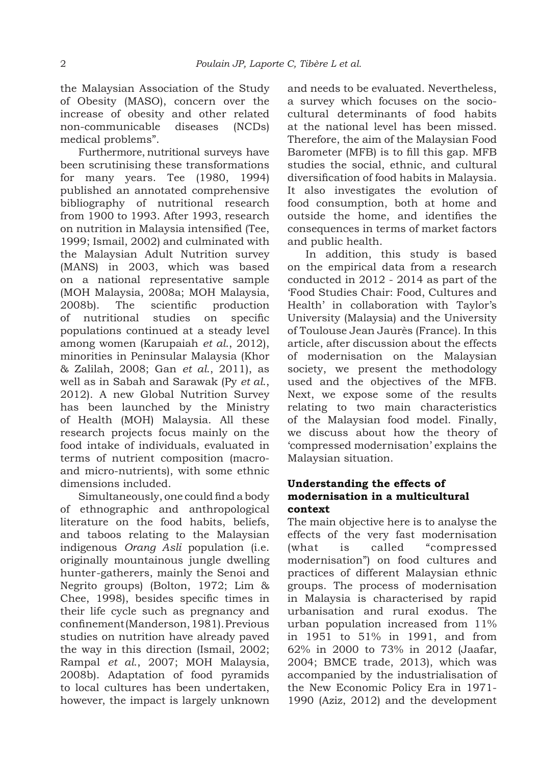the Malaysian Association of the Study of Obesity (MASO), concern over the increase of obesity and other related non-communicable diseases (NCDs) medical problems".

Furthermore, nutritional surveys have been scrutinising these transformations for many years. Tee (1980, 1994) published an annotated comprehensive bibliography of nutritional research from 1900 to 1993. After 1993, research on nutrition in Malaysia intensified (Tee, 1999; Ismail, 2002) and culminated with the Malaysian Adult Nutrition survey (MANS) in 2003, which was based on a national representative sample (MOH Malaysia, 2008a; MOH Malaysia, 2008b). The scientific production of nutritional studies on specific populations continued at a steady level among women (Karupaiah *et al*., 2012), minorities in Peninsular Malaysia (Khor & Zalilah, 2008; Gan *et al*., 2011), as well as in Sabah and Sarawak (Py *et al*., 2012). A new Global Nutrition Survey has been launched by the Ministry of Health (MOH) Malaysia. All these research projects focus mainly on the food intake of individuals, evaluated in terms of nutrient composition (macroand micro-nutrients), with some ethnic dimensions included.

Simultaneously, one could find a body of ethnographic and anthropological literature on the food habits, beliefs, and taboos relating to the Malaysian indigenous *Orang Asli* population (i.e. originally mountainous jungle dwelling hunter-gatherers, mainly the Senoi and Negrito groups) (Bolton, 1972; Lim & Chee, 1998), besides specific times in their life cycle such as pregnancy and confinement (Manderson, 1981). Previous studies on nutrition have already paved the way in this direction (Ismail, 2002; Rampal *et al*., 2007; MOH Malaysia, 2008b). Adaptation of food pyramids to local cultures has been undertaken, however, the impact is largely unknown and needs to be evaluated. Nevertheless, a survey which focuses on the sociocultural determinants of food habits at the national level has been missed. Therefore, the aim of the Malaysian Food Barometer (MFB) is to fill this gap. MFB studies the social, ethnic, and cultural diversification of food habits in Malaysia. It also investigates the evolution of food consumption, both at home and outside the home, and identifies the consequences in terms of market factors and public health.

In addition, this study is based on the empirical data from a research conducted in 2012 - 2014 as part of the 'Food Studies Chair: Food, Cultures and Health' in collaboration with Taylor's University (Malaysia) and the University of Toulouse Jean Jaurès (France). In this article, after discussion about the effects of modernisation on the Malaysian society, we present the methodology used and the objectives of the MFB. Next, we expose some of the results relating to two main characteristics of the Malaysian food model. Finally, we discuss about how the theory of 'compressed modernisation' explains the Malaysian situation.

#### **Understanding the effects of modernisation in a multicultural context**

The main objective here is to analyse the effects of the very fast modernisation (what is called "compressed modernisation") on food cultures and practices of different Malaysian ethnic groups. The process of modernisation in Malaysia is characterised by rapid urbanisation and rural exodus. The urban population increased from 11% in 1951 to 51% in 1991, and from 62% in 2000 to 73% in 2012 (Jaafar, 2004; BMCE trade, 2013), which was accompanied by the industrialisation of the New Economic Policy Era in 1971- 1990 (Aziz, 2012) and the development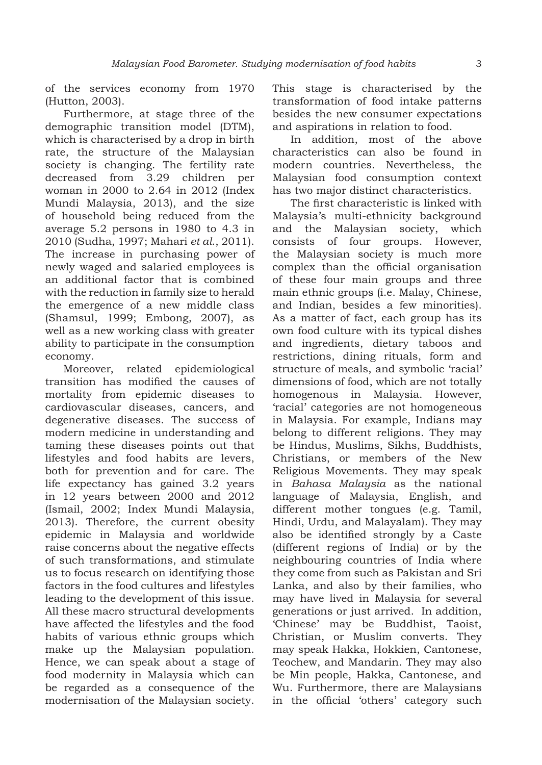of the services economy from 1970 (Hutton, 2003).

Furthermore, at stage three of the demographic transition model (DTM), which is characterised by a drop in birth rate, the structure of the Malaysian society is changing. The fertility rate decreased from 3.29 children per woman in 2000 to 2.64 in 2012 (Index Mundi Malaysia, 2013), and the size of household being reduced from the average 5.2 persons in 1980 to 4.3 in 2010 (Sudha, 1997; Mahari *et al*., 2011). The increase in purchasing power of newly waged and salaried employees is an additional factor that is combined with the reduction in family size to herald the emergence of a new middle class (Shamsul, 1999; Embong, 2007), as well as a new working class with greater ability to participate in the consumption economy.

Moreover, related epidemiological transition has modified the causes of mortality from epidemic diseases to cardiovascular diseases, cancers, and degenerative diseases. The success of modern medicine in understanding and taming these diseases points out that lifestyles and food habits are levers, both for prevention and for care. The life expectancy has gained 3.2 years in 12 years between 2000 and 2012 (Ismail, 2002; Index Mundi Malaysia, 2013). Therefore, the current obesity epidemic in Malaysia and worldwide raise concerns about the negative effects of such transformations, and stimulate us to focus research on identifying those factors in the food cultures and lifestyles leading to the development of this issue. All these macro structural developments have affected the lifestyles and the food habits of various ethnic groups which make up the Malaysian population. Hence, we can speak about a stage of food modernity in Malaysia which can be regarded as a consequence of the modernisation of the Malaysian society.

This stage is characterised by the transformation of food intake patterns besides the new consumer expectations and aspirations in relation to food.

In addition, most of the above characteristics can also be found in modern countries. Nevertheless, the Malaysian food consumption context has two major distinct characteristics.

The first characteristic is linked with Malaysia's multi-ethnicity background and the Malaysian society, which consists of four groups. However, the Malaysian society is much more complex than the official organisation of these four main groups and three main ethnic groups (i.e. Malay, Chinese, and Indian, besides a few minorities). As a matter of fact, each group has its own food culture with its typical dishes and ingredients, dietary taboos and restrictions, dining rituals, form and structure of meals, and symbolic 'racial' dimensions of food, which are not totally homogenous in Malaysia. However, 'racial' categories are not homogeneous in Malaysia. For example, Indians may belong to different religions. They may be Hindus, Muslims, Sikhs, Buddhists, Christians, or members of the New Religious Movements. They may speak in *Bahasa Malaysia* as the national language of Malaysia, English, and different mother tongues (e.g. Tamil, Hindi, Urdu, and Malayalam). They may also be identified strongly by a Caste (different regions of India) or by the neighbouring countries of India where they come from such as Pakistan and Sri Lanka, and also by their families, who may have lived in Malaysia for several generations or just arrived. In addition, 'Chinese' may be Buddhist, Taoist, Christian, or Muslim converts. They may speak Hakka, Hokkien, Cantonese, Teochew, and Mandarin. They may also be Min people, Hakka, Cantonese, and Wu. Furthermore, there are Malaysians in the official 'others' category such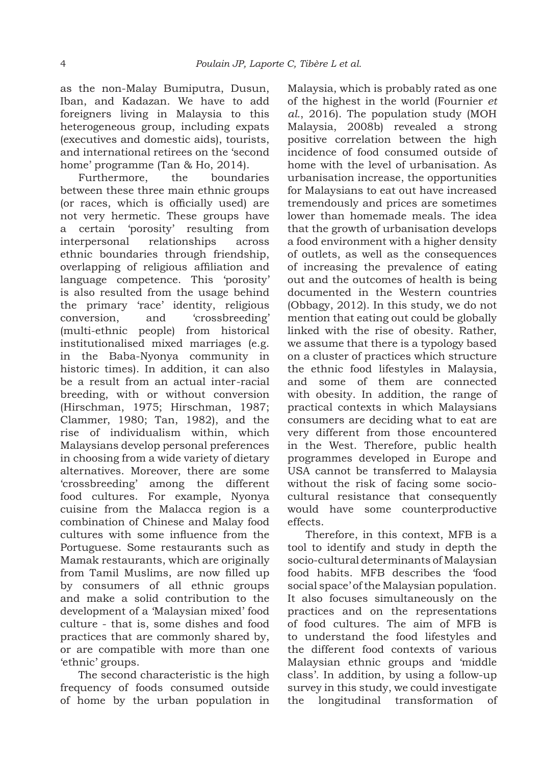as the non-Malay Bumiputra, Dusun, Iban, and Kadazan. We have to add foreigners living in Malaysia to this heterogeneous group, including expats (executives and domestic aids), tourists, and international retirees on the 'second home' programme (Tan & Ho, 2014).

Furthermore, the boundaries between these three main ethnic groups (or races, which is officially used) are not very hermetic. These groups have a certain 'porosity' resulting from interpersonal relationships across ethnic boundaries through friendship, overlapping of religious affiliation and language competence. This 'porosity' is also resulted from the usage behind the primary 'race' identity, religious conversion, and 'crossbreeding' (multi-ethnic people) from historical institutionalised mixed marriages (e.g. in the Baba-Nyonya community in historic times). In addition, it can also be a result from an actual inter-racial breeding, with or without conversion (Hirschman, 1975; Hirschman, 1987; Clammer, 1980; Tan, 1982), and the rise of individualism within, which Malaysians develop personal preferences in choosing from a wide variety of dietary alternatives. Moreover, there are some 'crossbreeding' among the different food cultures. For example, Nyonya cuisine from the Malacca region is a combination of Chinese and Malay food cultures with some influence from the Portuguese. Some restaurants such as Mamak restaurants, which are originally from Tamil Muslims, are now filled up by consumers of all ethnic groups and make a solid contribution to the development of a 'Malaysian mixed' food culture - that is, some dishes and food practices that are commonly shared by, or are compatible with more than one 'ethnic' groups.

The second characteristic is the high frequency of foods consumed outside of home by the urban population in Malaysia, which is probably rated as one of the highest in the world (Fournier *et al.*, 2016). The population study (MOH Malaysia, 2008b) revealed a strong positive correlation between the high incidence of food consumed outside of home with the level of urbanisation. As urbanisation increase, the opportunities for Malaysians to eat out have increased tremendously and prices are sometimes lower than homemade meals. The idea that the growth of urbanisation develops a food environment with a higher density of outlets, as well as the consequences of increasing the prevalence of eating out and the outcomes of health is being documented in the Western countries (Obbagy, 2012). In this study, we do not mention that eating out could be globally linked with the rise of obesity. Rather, we assume that there is a typology based on a cluster of practices which structure the ethnic food lifestyles in Malaysia, and some of them are connected with obesity. In addition, the range of practical contexts in which Malaysians consumers are deciding what to eat are very different from those encountered in the West. Therefore, public health programmes developed in Europe and USA cannot be transferred to Malaysia without the risk of facing some sociocultural resistance that consequently would have some counterproductive effects.

Therefore, in this context, MFB is a tool to identify and study in depth the socio-cultural determinants of Malaysian food habits. MFB describes the 'food social space' of the Malaysian population. It also focuses simultaneously on the practices and on the representations of food cultures. The aim of MFB is to understand the food lifestyles and the different food contexts of various Malaysian ethnic groups and 'middle class'. In addition, by using a follow-up survey in this study, we could investigate the longitudinal transformation of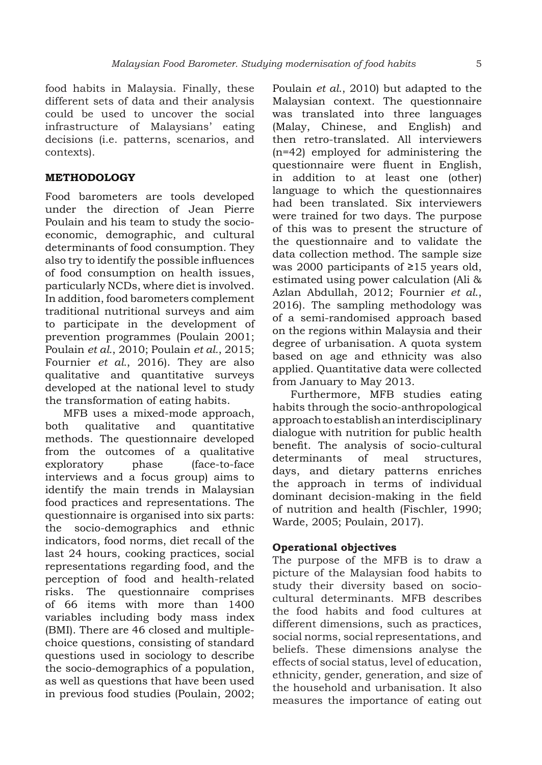food habits in Malaysia. Finally, these different sets of data and their analysis could be used to uncover the social infrastructure of Malaysians' eating decisions (i.e. patterns, scenarios, and contexts).

## **METHODOLOGY**

Food barometers are tools developed under the direction of Jean Pierre Poulain and his team to study the socioeconomic, demographic, and cultural determinants of food consumption. They also try to identify the possible influences of food consumption on health issues, particularly NCDs, where diet is involved. In addition, food barometers complement traditional nutritional surveys and aim to participate in the development of prevention programmes (Poulain 2001; Poulain *et al.*, 2010; Poulain *et al.*, 2015; Fournier *et al.*, 2016). They are also qualitative and quantitative surveys developed at the national level to study the transformation of eating habits.

MFB uses a mixed-mode approach, both qualitative and quantitative methods. The questionnaire developed from the outcomes of a qualitative exploratory phase (face-to-face interviews and a focus group) aims to identify the main trends in Malaysian food practices and representations. The questionnaire is organised into six parts: the socio-demographics and ethnic indicators, food norms, diet recall of the last 24 hours, cooking practices, social representations regarding food, and the perception of food and health-related risks. The questionnaire comprises of 66 items with more than 1400 variables including body mass index (BMI). There are 46 closed and multiplechoice questions, consisting of standard questions used in sociology to describe the socio-demographics of a population, as well as questions that have been used in previous food studies (Poulain, 2002;

Poulain *et al*., 2010) but adapted to the Malaysian context. The questionnaire was translated into three languages (Malay, Chinese, and English) and then retro-translated. All interviewers (n=42) employed for administering the questionnaire were fluent in English, in addition to at least one (other) language to which the questionnaires had been translated. Six interviewers were trained for two days. The purpose of this was to present the structure of the questionnaire and to validate the data collection method. The sample size was 2000 participants of ≥15 years old, estimated using power calculation (Ali & Azlan Abdullah, 2012; Fournier *et al*., 2016). The sampling methodology was of a semi-randomised approach based on the regions within Malaysia and their degree of urbanisation. A quota system based on age and ethnicity was also applied. Quantitative data were collected from January to May 2013.

Furthermore, MFB studies eating habits through the socio-anthropological approach to establish an interdisciplinary dialogue with nutrition for public health benefit. The analysis of socio-cultural determinants of meal structures, days, and dietary patterns enriches the approach in terms of individual dominant decision-making in the field of nutrition and health (Fischler, 1990; Warde, 2005; Poulain, 2017).

## **Operational objectives**

The purpose of the MFB is to draw a picture of the Malaysian food habits to study their diversity based on sociocultural determinants. MFB describes the food habits and food cultures at different dimensions, such as practices, social norms, social representations, and beliefs. These dimensions analyse the effects of social status, level of education, ethnicity, gender, generation, and size of the household and urbanisation. It also measures the importance of eating out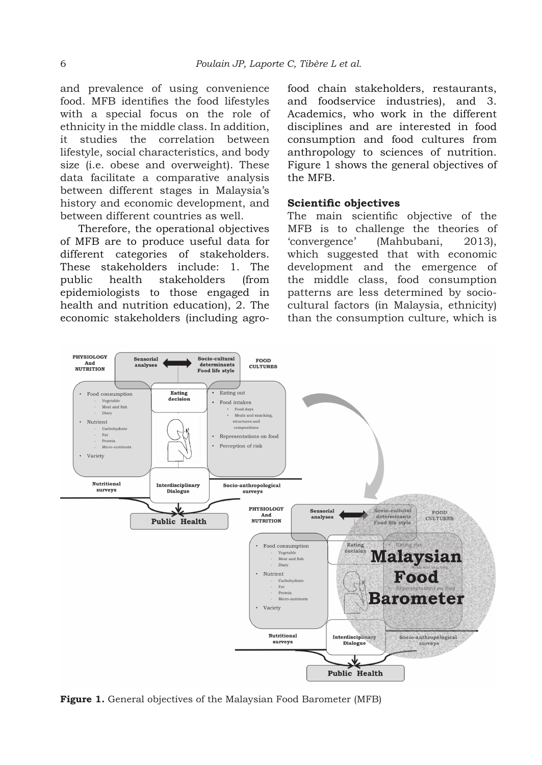and prevalence of using convenience food. MFB identifies the food lifestyles with a special focus on the role of ethnicity in the middle class. In addition, it studies the correlation between lifestyle, social characteristics, and body size (i.e. obese and overweight). These data facilitate a comparative analysis between different stages in Malaysia's history and economic development, and between different countries as well.

Therefore, the operational objectives of MFB are to produce useful data for different categories of stakeholders. These stakeholders include: 1. The public health stakeholders (from epidemiologists to those engaged in health and nutrition education), 2. The economic stakeholders (including agrofood chain stakeholders, restaurants, and foodservice industries), and 3. Academics, who work in the different disciplines and are interested in food consumption and food cultures from anthropology to sciences of nutrition. Figure 1 shows the general objectives of the MFB.

#### **Scientific objectives**

The main scientific objective of the MFB is to challenge the theories of 'convergence' (Mahbubani, 2013), which suggested that with economic development and the emergence of the middle class, food consumption patterns are less determined by sociocultural factors (in Malaysia, ethnicity) than the consumption culture, which is



**Figure 1.** General objectives of the Malaysian Food Barometer (MFB)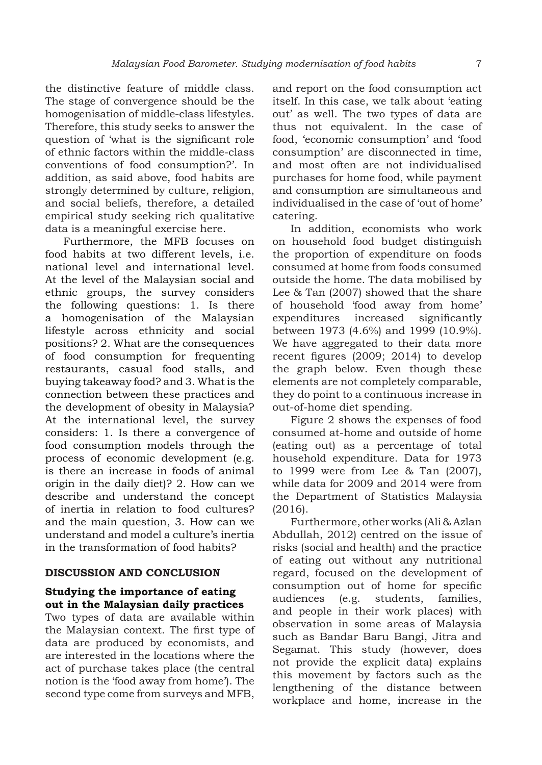the distinctive feature of middle class. The stage of convergence should be the homogenisation of middle-class lifestyles. Therefore, this study seeks to answer the question of 'what is the significant role of ethnic factors within the middle-class conventions of food consumption?'. In addition, as said above, food habits are strongly determined by culture, religion, and social beliefs, therefore, a detailed empirical study seeking rich qualitative data is a meaningful exercise here.

Furthermore, the MFB focuses on food habits at two different levels, i.e. national level and international level. At the level of the Malaysian social and ethnic groups, the survey considers the following questions: 1. Is there a homogenisation of the Malaysian lifestyle across ethnicity and social positions? 2. What are the consequences of food consumption for frequenting restaurants, casual food stalls, and buying takeaway food? and 3. What is the connection between these practices and the development of obesity in Malaysia? At the international level, the survey considers: 1. Is there a convergence of food consumption models through the process of economic development (e.g. is there an increase in foods of animal origin in the daily diet)? 2. How can we describe and understand the concept of inertia in relation to food cultures? and the main question, 3. How can we understand and model a culture's inertia in the transformation of food habits?

#### **DISCUSSION AND CONCLUSION**

#### **Studying the importance of eating out in the Malaysian daily practices**

Two types of data are available within the Malaysian context. The first type of data are produced by economists, and are interested in the locations where the act of purchase takes place (the central notion is the 'food away from home'). The second type come from surveys and MFB,

and report on the food consumption act itself. In this case, we talk about 'eating out' as well. The two types of data are thus not equivalent. In the case of food, 'economic consumption' and 'food consumption' are disconnected in time, and most often are not individualised purchases for home food, while payment and consumption are simultaneous and individualised in the case of 'out of home' catering.

In addition, economists who work on household food budget distinguish the proportion of expenditure on foods consumed at home from foods consumed outside the home. The data mobilised by Lee & Tan (2007) showed that the share of household 'food away from home' expenditures increased significantly between 1973 (4.6%) and 1999 (10.9%). We have aggregated to their data more recent figures (2009; 2014) to develop the graph below. Even though these elements are not completely comparable, they do point to a continuous increase in out-of-home diet spending.

Figure 2 shows the expenses of food consumed at-home and outside of home (eating out) as a percentage of total household expenditure. Data for 1973 to 1999 were from Lee & Tan (2007), while data for 2009 and 2014 were from the Department of Statistics Malaysia (2016).

Furthermore, other works (Ali & Azlan Abdullah, 2012) centred on the issue of risks (social and health) and the practice of eating out without any nutritional regard, focused on the development of consumption out of home for specific audiences (e.g. students, families, and people in their work places) with observation in some areas of Malaysia such as Bandar Baru Bangi, Jitra and Segamat. This study (however, does not provide the explicit data) explains this movement by factors such as the lengthening of the distance between workplace and home, increase in the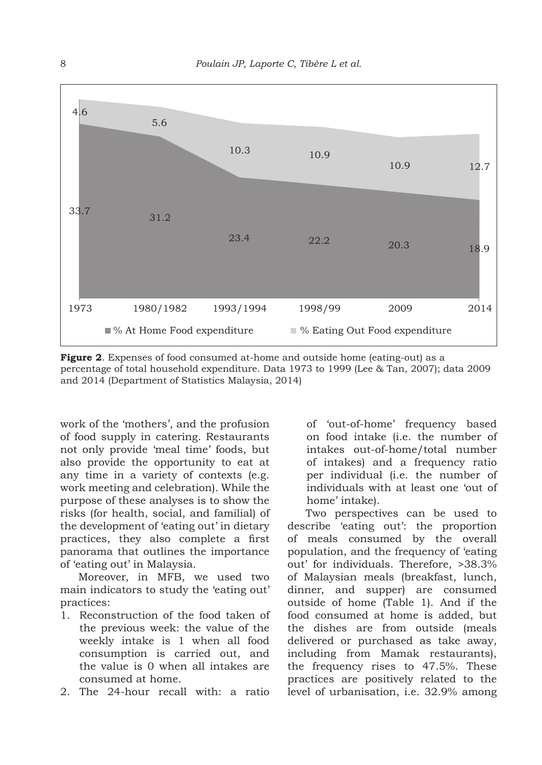

**Figure 2**. Expenses of food consumed at-home and outside home (eating-out) as a percentage of total household expenditure. Data 1973 to 1999 (Lee & Tan, 2007); data 2009 and 2014 (Department of Statistics Malaysia, 2014)

work of the 'mothers', and the profusion of food supply in catering. Restaurants not only provide 'meal time' foods, but also provide the opportunity to eat at any time in a variety of contexts (e.g. work meeting and celebration). While the purpose of these analyses is to show the risks (for health, social, and familial) of the development of 'eating out' in dietary practices, they also complete a first panorama that outlines the importance of 'eating out' in Malaysia.

Moreover, in MFB, we used two main indicators to study the 'eating out' practices:

- 1. Reconstruction of the food taken of the previous week: the value of the weekly intake is 1 when all food consumption is carried out, and the value is 0 when all intakes are consumed at home.
- 2. The 24-hour recall with: a ratio

of 'out-of-home' frequency based on food intake (i.e. the number of intakes out-of-home/total number of intakes) and a frequency ratio per individual (i.e. the number of individuals with at least one 'out of home' intake).

Two perspectives can be used to describe 'eating out': the proportion of meals consumed by the overall population, and the frequency of 'eating out' for individuals. Therefore, >38.3% of Malaysian meals (breakfast, lunch, dinner, and supper) are consumed outside of home (Table 1). And if the food consumed at home is added, but the dishes are from outside (meals delivered or purchased as take away, including from Mamak restaurants), the frequency rises to 47.5%. These practices are positively related to the level of urbanisation, i.e. 32.9% among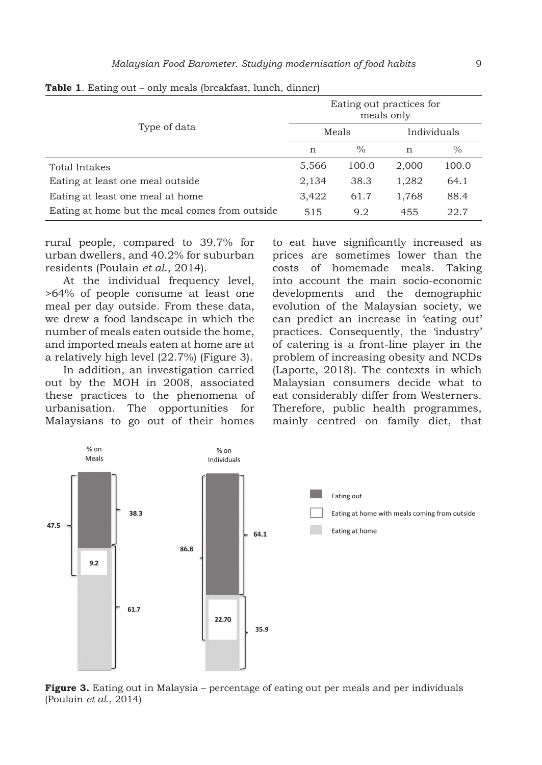| Type of data                                   | Eating out practices for<br>meals only |       |             |       |
|------------------------------------------------|----------------------------------------|-------|-------------|-------|
|                                                | Meals                                  |       | Individuals |       |
|                                                | n                                      | $\%$  | n           | $\%$  |
| Total Intakes                                  | 5,566                                  | 100.0 | 2,000       | 100.0 |
| Eating at least one meal outside.              | 2,134                                  | 38.3  | 1,282       | 64.1  |
| Eating at least one meal at home               | 3,422                                  | 61.7  | 1,768       | 88.4  |
| Eating at home but the meal comes from outside | 515                                    | 9.2   | 455         | 22.7  |

**Table 1**. Eating out – only meals (breakfast, lunch, dinner)

rural people, compared to 39.7% for urban dwellers, and 40.2% for suburban residents (Poulain *et al*., 2014).

At the individual frequency level, >64% of people consume at least one meal per day outside. From these data, we drew a food landscape in which the number of meals eaten outside the home, and imported meals eaten at home are at a relatively high level (22.7%) (Figure 3).

In addition, an investigation carried out by the MOH in 2008, associated these practices to the phenomena of urbanisation. The opportunities for Malaysians to go out of their homes

to eat have significantly increased as prices are sometimes lower than the costs of homemade meals. Taking into account the main socio-economic developments and the demographic evolution of the Malaysian society, we can predict an increase in 'eating out' practices. Consequently, the 'industry' of catering is a front-line player in the problem of increasing obesity and NCDs (Laporte, 2018). The contexts in which Malaysian consumers decide what to eat considerably differ from Westerners. Therefore, public health programmes, mainly centred on family diet, that



**Figure 3.** Eating out in Malaysia – percentage of eating out per meals and per individuals (Poulain *et al.*, 2014)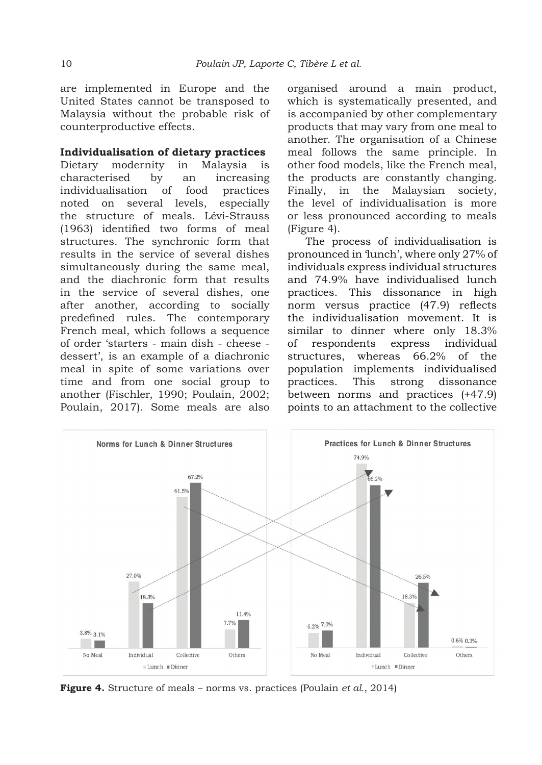are implemented in Europe and the United States cannot be transposed to Malaysia without the probable risk of counterproductive effects.

#### **Individualisation of dietary practices**

Dietary modernity in Malaysia is characterised by an increasing individualisation of food practices noted on several levels, especially the structure of meals. Lévi-Strauss (1963) identified two forms of meal structures. The synchronic form that results in the service of several dishes simultaneously during the same meal, and the diachronic form that results in the service of several dishes, one after another, according to socially predefined rules. The contemporary French meal, which follows a sequence of order 'starters - main dish - cheese dessert', is an example of a diachronic meal in spite of some variations over time and from one social group to another (Fischler, 1990; Poulain, 2002; Poulain, 2017). Some meals are also organised around a main product, which is systematically presented, and is accompanied by other complementary products that may vary from one meal to another. The organisation of a Chinese meal follows the same principle. In other food models, like the French meal, the products are constantly changing. Finally, in the Malaysian society, the level of individualisation is more or less pronounced according to meals (Figure 4).

The process of individualisation is pronounced in 'lunch', where only 27% of individuals express individual structures and 74.9% have individualised lunch practices. This dissonance in high norm versus practice (47.9) reflects the individualisation movement. It is similar to dinner where only 18.3% of respondents express individual structures, whereas 66.2% of the population implements individualised practices. This strong dissonance between norms and practices (+47.9) points to an attachment to the collective



**Figure 4.** Structure of meals – norms vs. practices (Poulain *et al.*, 2014)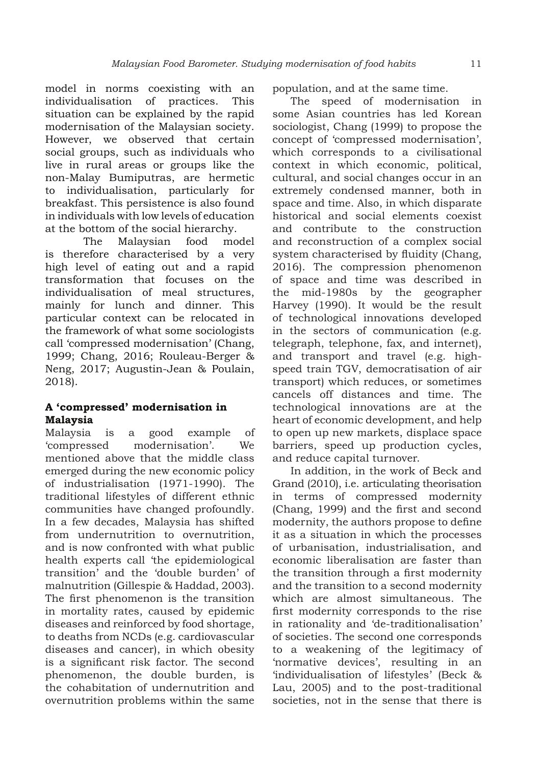model in norms coexisting with an individualisation of practices. This situation can be explained by the rapid modernisation of the Malaysian society. However, we observed that certain social groups, such as individuals who live in rural areas or groups like the non-Malay Bumiputras, are hermetic to individualisation, particularly for breakfast. This persistence is also found in individuals with low levels of education at the bottom of the social hierarchy.

The Malaysian food model is therefore characterised by a very high level of eating out and a rapid transformation that focuses on the individualisation of meal structures, mainly for lunch and dinner. This particular context can be relocated in the framework of what some sociologists call 'compressed modernisation' (Chang, 1999; Chang, 2016; Rouleau-Berger & Neng, 2017; Augustin-Jean & Poulain, 2018).

## **A 'compressed' modernisation in Malaysia**

Malaysia is a good example of 'compressed modernisation'. We mentioned above that the middle class emerged during the new economic policy of industrialisation (1971-1990). The traditional lifestyles of different ethnic communities have changed profoundly. In a few decades, Malaysia has shifted from undernutrition to overnutrition, and is now confronted with what public health experts call 'the epidemiological transition' and the 'double burden' of malnutrition (Gillespie & Haddad, 2003). The first phenomenon is the transition in mortality rates, caused by epidemic diseases and reinforced by food shortage, to deaths from NCDs (e.g. cardiovascular diseases and cancer), in which obesity is a significant risk factor. The second phenomenon, the double burden, is the cohabitation of undernutrition and overnutrition problems within the same

population, and at the same time.

The speed of modernisation in some Asian countries has led Korean sociologist, Chang (1999) to propose the concept of 'compressed modernisation', which corresponds to a civilisational context in which economic, political, cultural, and social changes occur in an extremely condensed manner, both in space and time. Also, in which disparate historical and social elements coexist and contribute to the construction and reconstruction of a complex social system characterised by fluidity (Chang, 2016). The compression phenomenon of space and time was described in the mid-1980s by the geographer Harvey (1990). It would be the result of technological innovations developed in the sectors of communication (e.g. telegraph, telephone, fax, and internet), and transport and travel (e.g. highspeed train TGV, democratisation of air transport) which reduces, or sometimes cancels off distances and time. The technological innovations are at the heart of economic development, and help to open up new markets, displace space barriers, speed up production cycles, and reduce capital turnover.

In addition, in the work of Beck and Grand (2010), i.e. articulating theorisation in terms of compressed modernity (Chang, 1999) and the first and second modernity, the authors propose to define it as a situation in which the processes of urbanisation, industrialisation, and economic liberalisation are faster than the transition through a first modernity and the transition to a second modernity which are almost simultaneous. The first modernity corresponds to the rise in rationality and 'de-traditionalisation' of societies. The second one corresponds to a weakening of the legitimacy of 'normative devices', resulting in an 'individualisation of lifestyles' (Beck & Lau, 2005) and to the post-traditional societies, not in the sense that there is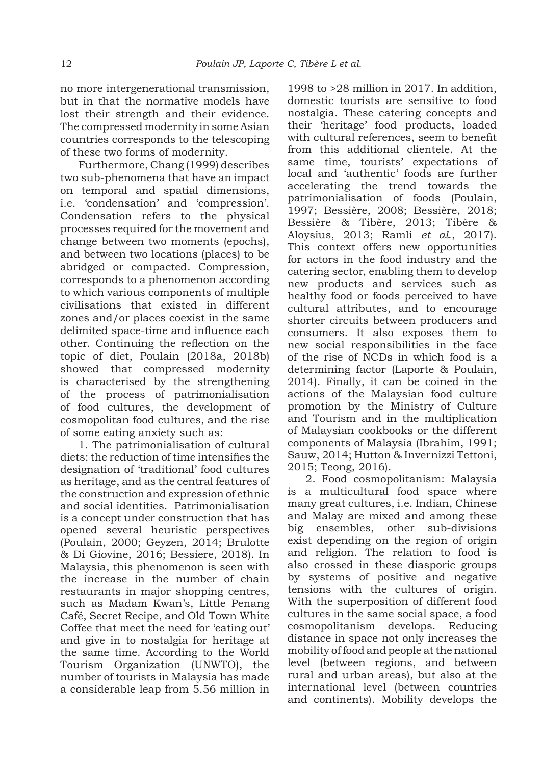no more intergenerational transmission, but in that the normative models have lost their strength and their evidence. The compressed modernity in some Asian countries corresponds to the telescoping of these two forms of modernity.

Furthermore, Chang (1999) describes two sub-phenomena that have an impact on temporal and spatial dimensions, i.e. 'condensation' and 'compression'. Condensation refers to the physical processes required for the movement and change between two moments (epochs), and between two locations (places) to be abridged or compacted. Compression, corresponds to a phenomenon according to which various components of multiple civilisations that existed in different zones and/or places coexist in the same delimited space-time and influence each other. Continuing the reflection on the topic of diet, Poulain (2018a, 2018b) showed that compressed modernity is characterised by the strengthening of the process of patrimonialisation of food cultures, the development of cosmopolitan food cultures, and the rise of some eating anxiety such as:

1. The patrimonialisation of cultural diets: the reduction of time intensifies the designation of 'traditional' food cultures as heritage, and as the central features of the construction and expression of ethnic and social identities. Patrimonialisation is a concept under construction that has opened several heuristic perspectives (Poulain, 2000; Geyzen, 2014; Brulotte & Di Giovine, 2016; Bessiere, 2018). In Malaysia, this phenomenon is seen with the increase in the number of chain restaurants in major shopping centres, such as Madam Kwan's, Little Penang Café, Secret Recipe, and Old Town White Coffee that meet the need for 'eating out' and give in to nostalgia for heritage at the same time. According to the World Tourism Organization (UNWTO), the number of tourists in Malaysia has made a considerable leap from 5.56 million in

1998 to >28 million in 2017. In addition, domestic tourists are sensitive to food nostalgia. These catering concepts and their 'heritage' food products, loaded with cultural references, seem to benefit from this additional clientele. At the same time, tourists' expectations of local and 'authentic' foods are further accelerating the trend towards the patrimonialisation of foods (Poulain, 1997; Bessière, 2008; Bessière, 2018; Bessière & Tibère, 2013; Tibère & Aloysius, 2013; Ramli *et al*., 2017). This context offers new opportunities for actors in the food industry and the catering sector, enabling them to develop new products and services such as healthy food or foods perceived to have cultural attributes, and to encourage shorter circuits between producers and consumers. It also exposes them to new social responsibilities in the face of the rise of NCDs in which food is a determining factor (Laporte & Poulain, 2014). Finally, it can be coined in the actions of the Malaysian food culture promotion by the Ministry of Culture and Tourism and in the multiplication of Malaysian cookbooks or the different components of Malaysia (Ibrahim, 1991; Sauw, 2014; Hutton & Invernizzi Tettoni, 2015; Teong, 2016).

2. Food cosmopolitanism: Malaysia is a multicultural food space where many great cultures, i.e. Indian, Chinese and Malay are mixed and among these big ensembles, other sub-divisions exist depending on the region of origin and religion. The relation to food is also crossed in these diasporic groups by systems of positive and negative tensions with the cultures of origin. With the superposition of different food cultures in the same social space, a food cosmopolitanism develops. Reducing distance in space not only increases the mobility of food and people at the national level (between regions, and between rural and urban areas), but also at the international level (between countries and continents). Mobility develops the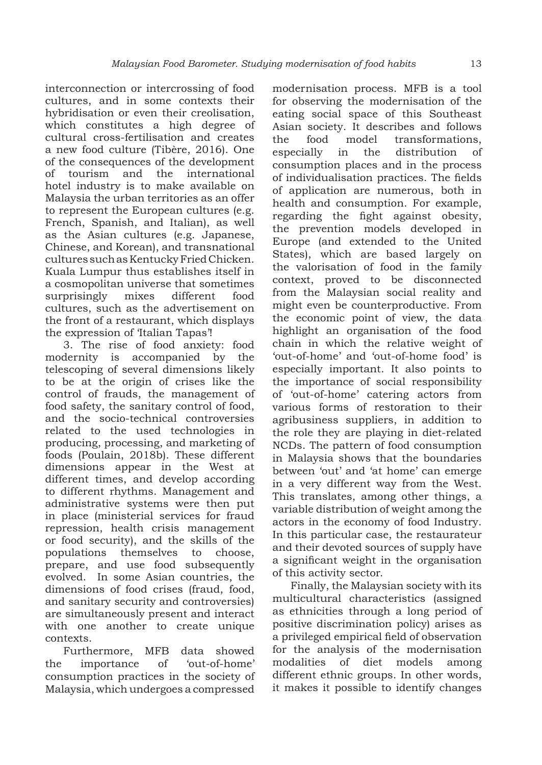interconnection or intercrossing of food cultures, and in some contexts their hybridisation or even their creolisation, which constitutes a high degree of cultural cross-fertilisation and creates a new food culture (Tibère, 2016). One of the consequences of the development of tourism and the international hotel industry is to make available on Malaysia the urban territories as an offer to represent the European cultures (e.g. French, Spanish, and Italian), as well as the Asian cultures (e.g. Japanese, Chinese, and Korean), and transnational cultures such as Kentucky Fried Chicken. Kuala Lumpur thus establishes itself in a cosmopolitan universe that sometimes surprisingly mixes different food cultures, such as the advertisement on the front of a restaurant, which displays the expression of 'Italian Tapas'!

3. The rise of food anxiety: food modernity is accompanied by the telescoping of several dimensions likely to be at the origin of crises like the control of frauds, the management of food safety, the sanitary control of food, and the socio-technical controversies related to the used technologies in producing, processing, and marketing of foods (Poulain, 2018b). These different dimensions appear in the West at different times, and develop according to different rhythms. Management and administrative systems were then put in place (ministerial services for fraud repression, health crisis management or food security), and the skills of the populations themselves to choose, prepare, and use food subsequently evolved. In some Asian countries, the dimensions of food crises (fraud, food, and sanitary security and controversies) are simultaneously present and interact with one another to create unique contexts.

Furthermore, MFB data showed the importance of 'out-of-home' consumption practices in the society of Malaysia, which undergoes a compressed

modernisation process. MFB is a tool for observing the modernisation of the eating social space of this Southeast Asian society. It describes and follows the food model transformations, especially in the distribution of consumption places and in the process of individualisation practices. The fields of application are numerous, both in health and consumption. For example, regarding the fight against obesity, the prevention models developed in Europe (and extended to the United States), which are based largely on the valorisation of food in the family context, proved to be disconnected from the Malaysian social reality and might even be counterproductive. From the economic point of view, the data highlight an organisation of the food chain in which the relative weight of 'out-of-home' and 'out-of-home food' is especially important. It also points to the importance of social responsibility of 'out-of-home' catering actors from various forms of restoration to their agribusiness suppliers, in addition to the role they are playing in diet-related NCDs. The pattern of food consumption in Malaysia shows that the boundaries between 'out' and 'at home' can emerge in a very different way from the West. This translates, among other things, a variable distribution of weight among the actors in the economy of food Industry. In this particular case, the restaurateur and their devoted sources of supply have a significant weight in the organisation of this activity sector.

Finally, the Malaysian society with its multicultural characteristics (assigned as ethnicities through a long period of positive discrimination policy) arises as a privileged empirical field of observation for the analysis of the modernisation modalities of diet models among different ethnic groups. In other words, it makes it possible to identify changes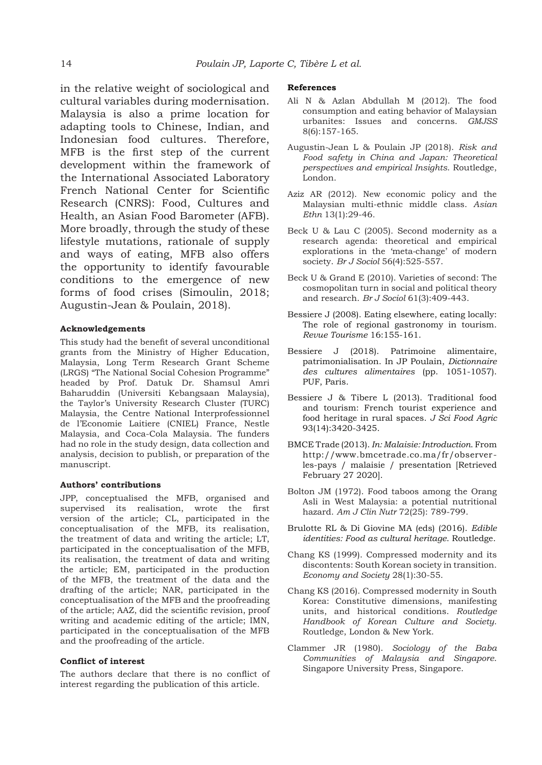in the relative weight of sociological and cultural variables during modernisation. Malaysia is also a prime location for adapting tools to Chinese, Indian, and Indonesian food cultures. Therefore, MFB is the first step of the current development within the framework of the International Associated Laboratory French National Center for Scientific Research (CNRS): Food, Cultures and Health, an Asian Food Barometer (AFB). More broadly, through the study of these lifestyle mutations, rationale of supply and ways of eating, MFB also offers the opportunity to identify favourable conditions to the emergence of new forms of food crises (Simoulin, 2018; Augustin-Jean & Poulain, 2018).

#### **Acknowledgements**

This study had the benefit of several unconditional grants from the Ministry of Higher Education, Malaysia, Long Term Research Grant Scheme (LRGS) "The National Social Cohesion Programme" headed by Prof. Datuk Dr. Shamsul Amri Baharuddin (Universiti Kebangsaan Malaysia), the Taylor's University Research Cluster (TURC) Malaysia, the Centre National Interprofessionnel de l'Economie Laitiere (CNIEL) France, Nestle Malaysia, and Coca-Cola Malaysia. The funders had no role in the study design, data collection and analysis, decision to publish, or preparation of the manuscript.

#### **Authors' contributions**

JPP, conceptualised the MFB, organised and supervised its realisation, wrote the first version of the article; CL, participated in the conceptualisation of the MFB, its realisation, the treatment of data and writing the article; LT, participated in the conceptualisation of the MFB, its realisation, the treatment of data and writing the article; EM, participated in the production of the MFB, the treatment of the data and the drafting of the article; NAR, participated in the conceptualisation of the MFB and the proofreading of the article; AAZ, did the scientific revision, proof writing and academic editing of the article; IMN, participated in the conceptualisation of the MFB and the proofreading of the article.

#### **Conflict of interest**

The authors declare that there is no conflict of interest regarding the publication of this article.

#### **References**

- Ali N & Azlan Abdullah M (2012). The food consumption and eating behavior of Malaysian urbanites: Issues and concerns. *GMJSS*  8(6):157-165.
- Augustin-Jean L & Poulain JP (2018). *Risk and Food safety in China and Japan: Theoretical perspectives and empirical Insights*. Routledge, London.
- Aziz AR (2012). New economic policy and the Malaysian multi-ethnic middle class. *Asian Ethn* 13(1):29-46*.*
- Beck U & Lau C (2005). Second modernity as a research agenda: theoretical and empirical explorations in the 'meta‐change' of modern society. *Br J Sociol* 56(4):525-557.
- Beck U & Grand E (2010). Varieties of second: The cosmopolitan turn in social and political theory and research. *Br J Sociol* 61(3):409-443.
- Bessiere J (2008). Eating elsewhere, eating locally: The role of regional gastronomy in tourism. *Revue Tourisme* 16:155-161.
- Bessiere J (2018). Patrimoine alimentaire, patrimonialisation. In JP Poulain, *Dictionnaire des cultures alimentaires* (pp. 1051-1057). PUF, Paris.
- Bessiere J & Tibere L (2013). Traditional food and tourism: French tourist experience and food heritage in rural spaces. *J Sci Food Agric* 93(14):3420-3425.
- BMCE Trade (2013). *In: Malaisie: Introduction*. From http://www.bmcetrade.co.ma/fr/observerles-pays / malaisie / presentation [Retrieved February 27 2020].
- Bolton JM (1972). Food taboos among the Orang Asli in West Malaysia: a potential nutritional hazard. *Am J Clin Nutr* 72(25): 789-799.
- Brulotte RL & Di Giovine MA (eds) (2016). *Edible identities: Food as cultural heritage*. Routledge.
- Chang KS (1999). Compressed modernity and its discontents: South Korean society in transition. *Economy and Society* 28(1):30-55.
- Chang KS (2016). Compressed modernity in South Korea: Constitutive dimensions, manifesting units, and historical conditions. *Routledge Handbook of Korean Culture and Society*. Routledge, London & New York.
- Clammer JR (1980). *Sociology of the Baba Communities of Malaysia and Singapore*. Singapore University Press, Singapore.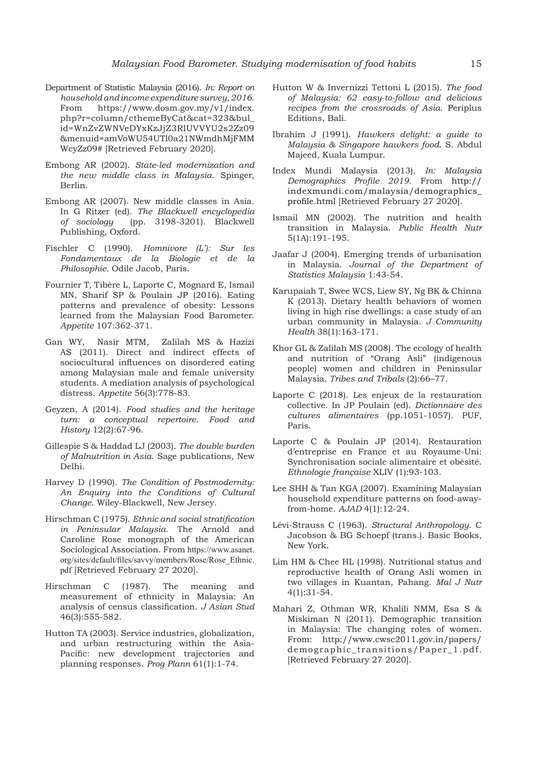- Department of Statistic Malaysia (2016). *In: Report on household and income expenditure survey, 2016*. From https://www.dosm.gov.my/v1/index. php?r=column/cthemeByCat&cat=323&bul\_ id=WnZvZWNVeDYxKzJjZ3RlUVVYU2s2Zz09 &menuid=amVoWU54UTl0a21NWmdhMjFMM WcyZz09# [Retrieved February 2020].
- Embong AR (2002). *State-led modernization and the new middle class in Malaysia*. Spinger, Berlin.
- Embong AR (2007). New middle classes in Asia. In G Ritzer (ed). *The Blackwell encyclopedia of sociology* (pp. 3198-3201). Blackwell Publishing, Oxford.
- Fischler C (1990). *Homnivore (L'): Sur les Fondamentaux de la Biologie et de la Philosophie.* Odile Jacob, Paris.
- Fournier T, Tibère L, Laporte C, Mognard E, Ismail MN, Sharif SP & Poulain JP (2016). Eating patterns and prevalence of obesity: Lessons learned from the Malaysian Food Barometer. *Appetite* 107:362-371.
- Gan WY, Nasir MTM, Zalilah MS & Hazizi AS (2011). Direct and indirect effects of sociocultural influences on disordered eating among Malaysian male and female university students. A mediation analysis of psychological distress. *Appetite* 56(3):778-83.
- Geyzen, A (2014). *Food studies and the heritage turn: a conceptual repertoire*. *Food and History* 12(2):67-96.
- Gillespie S & Haddad LJ (2003). *The double burden of Malnutrition in Asia*. Sage publications, New Delhi.
- Harvey D (1990). *The Condition of Postmodernity: An Enquiry into the Conditions of Cultural Change*. Wiley-Blackwell, New Jersey.
- Hirschman C (1975). *Ethnic and social stratification in Peninsular Malaysia.* The Arnold and Caroline Rose monograph of the American Sociological Association. From https://www.asanet. org/sites/default/files/savvy/members/Rose/Rose\_Ethnic. pdf [Retrieved February 27 2020].
- Hirschman C (1987). The meaning and measurement of ethnicity in Malaysia: An analysis of census classification. *J Asian Stud* 46(3):555-582.
- Hutton TA (2003). Service industries, globalization, and urban restructuring within the Asia-Pacific: new development trajectories and planning responses. *Prog Plann* 61(1):1-74.
- Hutton W & Invernizzi Tettoni L (2015). *The food of Malaysia: 62 easy-to-follow and delicious recipes from the crossroads of Asia*. Periplus Editions, Bali.
- Ibrahim J (1991). *Hawkers delight: a guide to Malaysia & Singapore hawkers food*. S. Abdul Majeed, Kuala Lumpur.
- Index Mundi Malaysia (2013). *In: Malaysia Demographics Profile 2019*. From http:// indexmundi.com/malaysia/demographics\_ profile.html [Retrieved February 27 2020].
- Ismail MN (2002). The nutrition and health transition in Malaysia. *Public Health Nutr* 5(1A):191-195.
- Jaafar J (2004). Emerging trends of urbanisation in Malaysia. *Journal of the Department of Statistics Malaysia* 1:43-54.
- Karupaiah T, Swee WCS, Liew SY, Ng BK & Chinna K (2013). Dietary health behaviors of women living in high rise dwellings: a case study of an urban community in Malaysia. *J Community Health* 38(1):163-171.
- Khor GL & Zalilah MS (2008). The ecology of health and nutrition of "Orang Asli" (indigenous people) women and children in Peninsular Malaysia. *Tribes and Tribals* (2):66–77.
- Laporte C (2018). Les enjeux de la restauration collective. In JP Poulain (ed). *Dictionnaire des cultures alimentaires* (pp*.*1051-1057). PUF, Paris.
- Laporte C & Poulain JP (2014). Restauration d'entreprise en France et au Royaume-Uni: Synchronisation sociale alimentaire et obésité. *Ethnologie française* XLIV (1):93-103.
- Lee SHH & Tan KGA (2007). Examining Malaysian household expenditure patterns on food-awayfrom-home. *AJAD* 4(1):12-24.
- Lévi-Strauss C (1963). *Structural Anthropology*. C Jacobson & BG Schoepf (trans.). Basic Books, New York.
- Lim HM & Chee HL (1998). Nutritional status and reproductive health of Orang Asli women in two villages in Kuantan, Pahang. *Mal J Nutr* 4(1):31-54.
- Mahari Z, Othman WR, Khalili NMM, Esa S & Miskiman N (2011). Demographic transition in Malaysia: The changing roles of women. From: http://www.cwsc2011.gov.in/papers/ demographic\_transitions/Paper\_1.pdf. [Retrieved February 27 2020].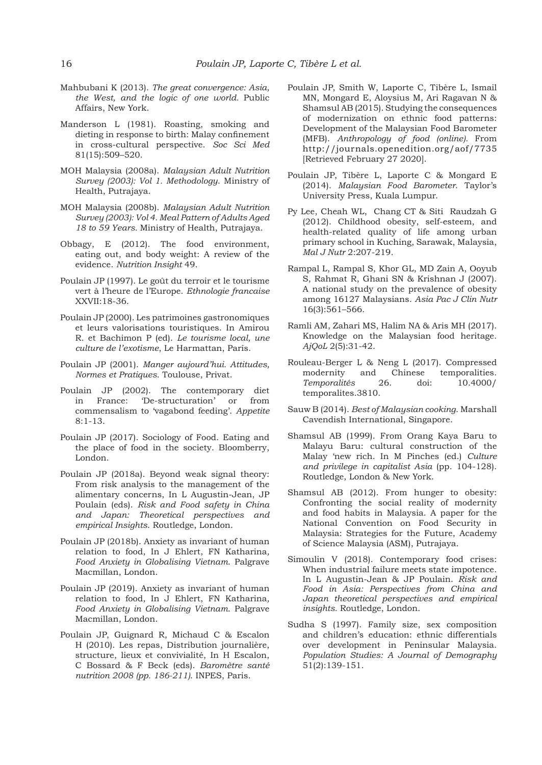- Mahbubani K (2013). *The great convergence: Asia, the West, and the logic of one world.* Public Affairs, New York.
- Manderson L (1981). Roasting, smoking and dieting in response to birth: Malay confinement in cross-cultural perspective. *Soc Sci Med* 81(15):509–520.
- MOH Malaysia (2008a). *Malaysian Adult Nutrition Survey (2003): Vol 1. Methodology*. Ministry of Health, Putrajaya.
- MOH Malaysia (2008b). *Malaysian Adult Nutrition Survey (2003): Vol 4. Meal Pattern of Adults Aged 18 to 59 Years.* Ministry of Health, Putrajaya.
- Obbagy, E (2012). The food environment, eating out, and body weight: A review of the evidence. *Nutrition Insight* 49.
- Poulain JP (1997). Le goût du terroir et le tourisme vert à l'heure de l'Europe. *Ethnologie francaise* XXVII:18-36.
- Poulain JP (2000). Les patrimoines gastronomiques et leurs valorisations touristiques. In Amirou R. et Bachimon P (ed). *Le tourisme local, une culture de l'exotisme*, Le Harmattan, París.
- Poulain JP (2001). *Manger aujourd'hui. Attitudes, Normes et Pratiques*. Toulouse, Privat.
- Poulain JP (2002). The contemporary diet in France: 'De-structuration' or from commensalism to 'vagabond feeding'. *Appetite* 8:1-13.
- Poulain JP (2017). Sociology of Food. Eating and the place of food in the society. Bloomberry, London.
- Poulain JP (2018a). Beyond weak signal theory: From risk analysis to the management of the alimentary concerns, In L Augustin-Jean, JP Poulain (eds). *Risk and Food safety in China and Japan: Theoretical perspectives and empirical Insights*. Routledge, London.
- Poulain JP (2018b). Anxiety as invariant of human relation to food, In J Ehlert, FN Katharina*, Food Anxiety in Globalising Vietnam*. Palgrave Macmillan, London.
- Poulain JP (2019). Anxiety as invariant of human relation to food, In J Ehlert, FN Katharina*, Food Anxiety in Globalising Vietnam*. Palgrave Macmillan, London.
- Poulain JP, Guignard R, Michaud C & Escalon H (2010). Les repas, Distribution journalière, structure, lieux et convivialité, In H Escalon, C Bossard & F Beck (eds). *Baromètre santé nutrition 2008 (pp. 186-211)*. INPES, Paris.
- Poulain JP, Smith W, Laporte C, Tibère L, Ismail MN, Mongard E, Aloysius M, Ari Ragavan N & Shamsul AB (2015). Studying the consequences of modernization on ethnic food patterns: Development of the Malaysian Food Barometer (MFB). *Anthropology of food (online).* From http://journals.openedition.org/aof/7735 [Retrieved February 27 2020].
- Poulain JP, Tibère L, Laporte C & Mongard E (2014). *Malaysian Food Barometer*. Taylor's University Press, Kuala Lumpur.
- Py Lee, Cheah WL, Chang CT & Siti Raudzah G (2012). Childhood obesity, self-esteem, and health-related quality of life among urban primary school in Kuching, Sarawak, Malaysia, *Mal J Nutr* 2:207-219.
- Rampal L, Rampal S, Khor GL, MD Zain A, Ooyub S, Rahmat R, Ghani SN & Krishnan J (2007). A national study on the prevalence of obesity among 16127 Malaysians. *Asia Pac J Clin Nutr* 16(3):561–566.
- Ramli AM, Zahari MS, Halim NA & Aris MH (2017). Knowledge on the Malaysian food heritage. *AjQoL* 2(5):31-42.
- Rouleau-Berger L & Neng L (2017). Compressed modernity and Chinese temporalities. *Temporalités* 26. doi: 10.4000/ temporalites.3810.
- Sauw B (2014). *Best of Malaysian cooking*. Marshall Cavendish International, Singapore.
- Shamsul AB (1999). From Orang Kaya Baru to Malayu Baru: cultural construction of the Malay 'new rich. In M Pinches (ed.) *Culture and privilege in capitalist Asia* (pp. 104-128). Routledge, London & New York.
- Shamsul AB (2012). From hunger to obesity: Confronting the social reality of modernity and food habits in Malaysia. A paper for the National Convention on Food Security in Malaysia: Strategies for the Future, Academy of Science Malaysia (ASM), Putrajaya.
- Simoulin V (2018). Contemporary food crises: When industrial failure meets state impotence. In L Augustin-Jean & JP Poulain. *Risk and Food in Asia: Perspectives from China and Japan theoretical perspectives and empirical insights.* Routledge, London.
- Sudha S (1997). Family size, sex composition and children's education: ethnic differentials over development in Peninsular Malaysia. *Population Studies: A Journal of Demography* 51(2):139-151.